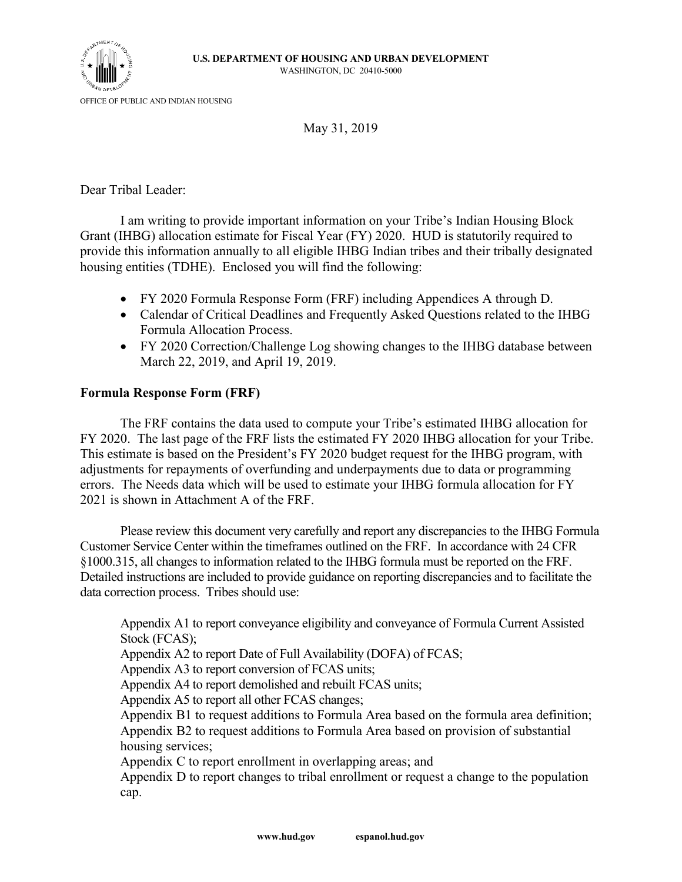

May 31, 2019

Dear Tribal Leader:

I am writing to provide important information on your Tribe's Indian Housing Block Grant (IHBG) allocation estimate for Fiscal Year (FY) 2020. HUD is statutorily required to provide this information annually to all eligible IHBG Indian tribes and their tribally designated housing entities (TDHE). Enclosed you will find the following:

- FY 2020 Formula Response Form (FRF) including Appendices A through D.
- Calendar of Critical Deadlines and Frequently Asked Questions related to the IHBG Formula Allocation Process.
- FY 2020 Correction/Challenge Log showing changes to the IHBG database between March 22, 2019, and April 19, 2019.

## **Formula Response Form (FRF)**

The FRF contains the data used to compute your Tribe's estimated IHBG allocation for FY 2020. The last page of the FRF lists the estimated FY 2020 IHBG allocation for your Tribe. This estimate is based on the President's FY 2020 budget request for the IHBG program, with adjustments for repayments of overfunding and underpayments due to data or programming errors. The Needs data which will be used to estimate your IHBG formula allocation for FY 2021 is shown in Attachment A of the FRF.

Please review this document very carefully and report any discrepancies to the IHBG Formula Customer Service Center within the timeframes outlined on the FRF. In accordance with 24 CFR §1000.315, all changes to information related to the IHBG formula must be reported on the FRF. Detailed instructions are included to provide guidance on reporting discrepancies and to facilitate the data correction process. Tribes should use:

Appendix A1 to report conveyance eligibility and conveyance of Formula Current Assisted Stock (FCAS); Appendix A2 to report Date of Full Availability (DOFA) of FCAS; Appendix A3 to report conversion of FCAS units; Appendix A4 to report demolished and rebuilt FCAS units; Appendix A5 to report all other FCAS changes; Appendix B1 to request additions to Formula Area based on the formula area definition; Appendix B2 to request additions to Formula Area based on provision of substantial housing services; Appendix C to report enrollment in overlapping areas; and Appendix D to report changes to tribal enrollment or request a change to the population

cap.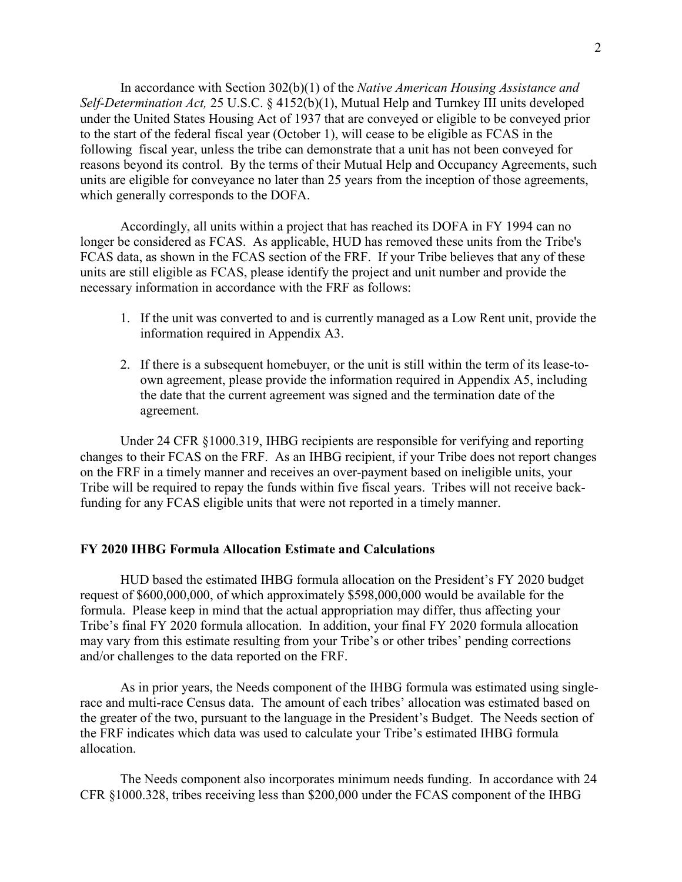In accordance with Section 302(b)(1) of the *Native American Housing Assistance and Self-Determination Act,* 25 U.S.C. § 4152(b)(1), Mutual Help and Turnkey III units developed under the United States Housing Act of 1937 that are conveyed or eligible to be conveyed prior to the start of the federal fiscal year (October 1), will cease to be eligible as FCAS in the following fiscal year, unless the tribe can demonstrate that a unit has not been conveyed for reasons beyond its control. By the terms of their Mutual Help and Occupancy Agreements, such units are eligible for conveyance no later than 25 years from the inception of those agreements, which generally corresponds to the DOFA.

Accordingly, all units within a project that has reached its DOFA in FY 1994 can no longer be considered as FCAS. As applicable, HUD has removed these units from the Tribe's FCAS data, as shown in the FCAS section of the FRF. If your Tribe believes that any of these units are still eligible as FCAS, please identify the project and unit number and provide the necessary information in accordance with the FRF as follows:

- 1. If the unit was converted to and is currently managed as a Low Rent unit, provide the information required in Appendix A3.
- 2. If there is a subsequent homebuyer, or the unit is still within the term of its lease-toown agreement, please provide the information required in Appendix A5, including the date that the current agreement was signed and the termination date of the agreement.

Under 24 CFR §1000.319, IHBG recipients are responsible for verifying and reporting changes to their FCAS on the FRF. As an IHBG recipient, if your Tribe does not report changes on the FRF in a timely manner and receives an over-payment based on ineligible units, your Tribe will be required to repay the funds within five fiscal years. Tribes will not receive backfunding for any FCAS eligible units that were not reported in a timely manner.

## **FY 2020 IHBG Formula Allocation Estimate and Calculations**

HUD based the estimated IHBG formula allocation on the President's FY 2020 budget request of \$600,000,000, of which approximately \$598,000,000 would be available for the formula. Please keep in mind that the actual appropriation may differ, thus affecting your Tribe's final FY 2020 formula allocation. In addition, your final FY 2020 formula allocation may vary from this estimate resulting from your Tribe's or other tribes' pending corrections and/or challenges to the data reported on the FRF.

As in prior years, the Needs component of the IHBG formula was estimated using singlerace and multi-race Census data. The amount of each tribes' allocation was estimated based on the greater of the two, pursuant to the language in the President's Budget. The Needs section of the FRF indicates which data was used to calculate your Tribe's estimated IHBG formula allocation.

The Needs component also incorporates minimum needs funding. In accordance with 24 CFR §1000.328, tribes receiving less than \$200,000 under the FCAS component of the IHBG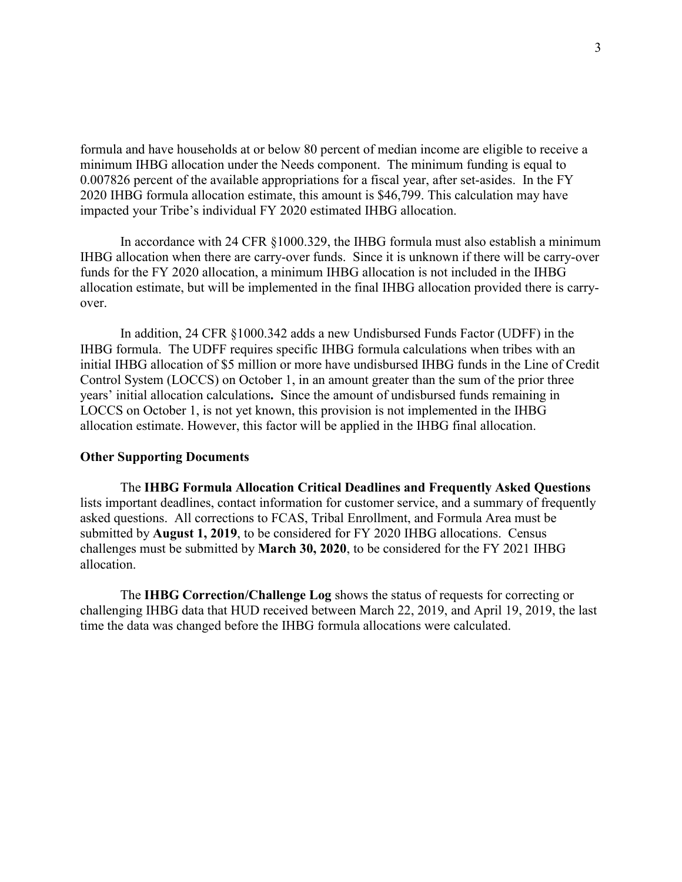formula and have households at or below 80 percent of median income are eligible to receive a minimum IHBG allocation under the Needs component. The minimum funding is equal to 0.007826 percent of the available appropriations for a fiscal year, after set-asides. In the FY 2020 IHBG formula allocation estimate, this amount is \$46,799. This calculation may have impacted your Tribe's individual FY 2020 estimated IHBG allocation.

In accordance with 24 CFR §1000.329, the IHBG formula must also establish a minimum IHBG allocation when there are carry-over funds. Since it is unknown if there will be carry-over funds for the FY 2020 allocation, a minimum IHBG allocation is not included in the IHBG allocation estimate, but will be implemented in the final IHBG allocation provided there is carryover.

In addition, 24 CFR §1000.342 adds a new Undisbursed Funds Factor (UDFF) in the IHBG formula. The UDFF requires specific IHBG formula calculations when tribes with an initial IHBG allocation of \$5 million or more have undisbursed IHBG funds in the Line of Credit Control System (LOCCS) on October 1, in an amount greater than the sum of the prior three years' initial allocation calculations**.** Since the amount of undisbursed funds remaining in LOCCS on October 1, is not yet known, this provision is not implemented in the IHBG allocation estimate. However, this factor will be applied in the IHBG final allocation.

## **Other Supporting Documents**

The **IHBG Formula Allocation Critical Deadlines and Frequently Asked Questions** lists important deadlines, contact information for customer service, and a summary of frequently asked questions. All corrections to FCAS, Tribal Enrollment, and Formula Area must be submitted by **August 1, 2019**, to be considered for FY 2020 IHBG allocations. Census challenges must be submitted by **March 30, 2020**, to be considered for the FY 2021 IHBG allocation.

The **IHBG Correction/Challenge Log** shows the status of requests for correcting or challenging IHBG data that HUD received between March 22, 2019, and April 19, 2019, the last time the data was changed before the IHBG formula allocations were calculated.